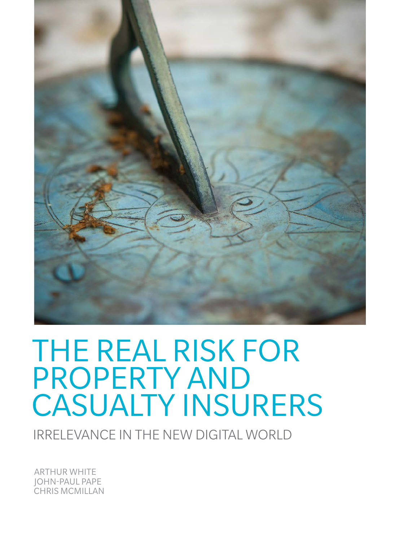

# THE REAL RISK FOR PROPERTY AND CASUALTY INSURERS

IRRELEVANCE IN THE NEW DIGITAL WORLD

ARTHUR WHITE JOHN-PAUL PAPE CHRIS MCMILLAN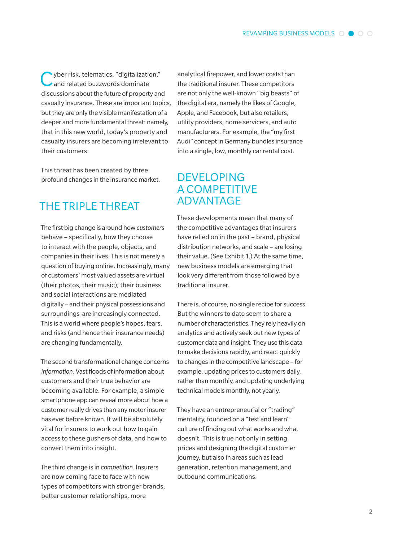vber risk, telematics, "digitalization," and related buzzwords dominate discussions about the future of property and casualty insurance. These are important topics, but they are only the visible manifestation of a deeper and more fundamental threat: namely, that in this new world, today's property and casualty insurers are becoming irrelevant to their customers.

This threat has been created by three profound changes in the insurance market.

## THE TRIPLE THREAT

The first big change is around how *customers* behave – specifically, how they choose to interact with the people, objects, and companies in their lives. This is not merely a question of buying online. Increasingly, many of customers' most valued assets are virtual (their photos, their music); their business and social interactions are mediated digitally – and their physical possessions and surroundings are increasingly connected. This is a world where people's hopes, fears, and risks (and hence their insurance needs) are changing fundamentally.

The second transformational change concerns *information*. Vast floods of information about customers and their true behavior are becoming available. For example, a simple smartphone app can reveal more about how a customer really drives than any motor insurer has ever before known. It will be absolutely vital for insurers to work out how to gain access to these gushers of data, and how to convert them into insight.

The third change is in *competition*. Insurers are now coming face to face with new types of competitors with stronger brands, better customer relationships, more

analytical firepower, and lower costs than the traditional insurer. These competitors are not only the well-known "big beasts" of the digital era, namely the likes of Google, Apple, and Facebook, but also retailers, utility providers, home servicers, and auto manufacturers. For example, the "my first Audi" concept in Germany bundles insurance into a single, low, monthly car rental cost.

## DEVELOPING A COMPETITIVE ADVANTAGE

These developments mean that many of the competitive advantages that insurers have relied on in the past – brand, physical distribution networks, and scale – are losing their value. (See Exhibit 1.) At the same time, new business models are emerging that look very different from those followed by a traditional insurer.

There is, of course, no single recipe for success. But the winners to date seem to share a number of characteristics. They rely heavily on analytics and actively seek out new types of customer data and insight. They use this data to make decisions rapidly, and react quickly to changes in the competitive landscape – for example, updating prices to customers daily, rather than monthly, and updating underlying technical models monthly, not yearly.

They have an entrepreneurial or "trading" mentality, founded on a "test and learn" culture of finding out what works and what doesn't. This is true not only in setting prices and designing the digital customer journey, but also in areas such as lead generation, retention management, and outbound communications.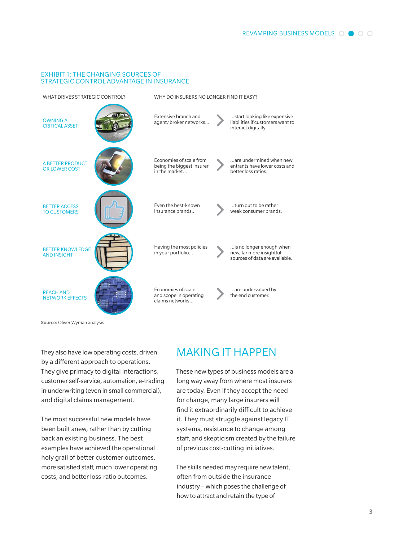#### Exhibit 1: THE CHANGING SOURCES OF STRATEGIC CONTROL ADVANTAGE IN INSURANCE



Source: Oliver Wyman analysis

They also have low operating costs, driven by a different approach to operations. They give primacy to digital interactions, customer self-service, automation, e-trading in underwriting (even in small commercial), and digital claims management.

The most successful new models have been built anew, rather than by cutting back an existing business. The best examples have achieved the operational holy grail of better customer outcomes, more satisfied staff, much lower operating costs, and better loss-ratio outcomes.

## MAKING IT HAPPEN

These new types of business models are a long way away from where most insurers are today. Even if they accept the need for change, many large insurers will find it extraordinarily difficult to achieve it. They must struggle against legacy IT systems, resistance to change among staff, and skepticism created by the failure of previous cost-cutting initiatives.

The skills needed may require newtalent, often from outside the insurance industry – which poses the challenge of how to attract and retain the type of